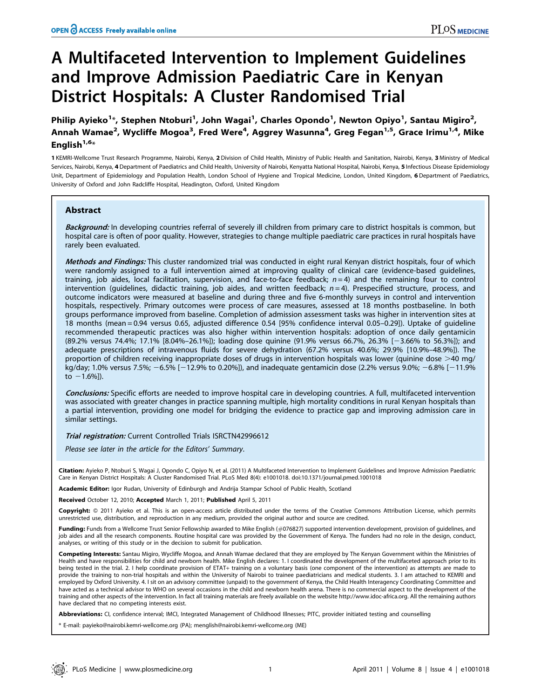# A Multifaceted Intervention to Implement Guidelines and Improve Admission Paediatric Care in Kenyan District Hospitals: A Cluster Randomised Trial

Philip Ayieko<sup>1</sup>\*, Stephen Ntoburi<sup>1</sup>, John Wagai<sup>1</sup>, Charles Opondo<sup>1</sup>, Newton Opiyo<sup>1</sup>, Santau Migiro<sup>2</sup>, Annah Wamae<sup>2</sup>, Wycliffe Mogoa<sup>3</sup>, Fred Were<sup>4</sup>, Aggrey Wasunna<sup>4</sup>, Greg Fegan<sup>1,5</sup>, Grace Irimu<sup>1,4</sup>, Mike English $1,6*$ 

1 KEMRI-Wellcome Trust Research Programme, Nairobi, Kenya, 2 Division of Child Health, Ministry of Public Health and Sanitation, Nairobi, Kenya, 3 Ministry of Medical Services, Nairobi, Kenya, 4 Department of Paediatrics and Child Health, University of Nairobi, Kenyatta National Hospital, Nairobi, Kenya, 5 Infectious Disease Epidemiology Unit, Department of Epidemiology and Population Health, London School of Hygiene and Tropical Medicine, London, United Kingdom, 6 Department of Paediatrics, University of Oxford and John Radcliffe Hospital, Headington, Oxford, United Kingdom

# Abstract

Background: In developing countries referral of severely ill children from primary care to district hospitals is common, but hospital care is often of poor quality. However, strategies to change multiple paediatric care practices in rural hospitals have rarely been evaluated.

Methods and Findings: This cluster randomized trial was conducted in eight rural Kenyan district hospitals, four of which were randomly assigned to a full intervention aimed at improving quality of clinical care (evidence-based guidelines, training, job aides, local facilitation, supervision, and face-to-face feedback;  $n=4$ ) and the remaining four to control intervention (guidelines, didactic training, job aides, and written feedback;  $n=4$ ). Prespecified structure, process, and outcome indicators were measured at baseline and during three and five 6-monthly surveys in control and intervention hospitals, respectively. Primary outcomes were process of care measures, assessed at 18 months postbaseline. In both groups performance improved from baseline. Completion of admission assessment tasks was higher in intervention sites at 18 months (mean = 0.94 versus 0.65, adjusted difference 0.54 [95% confidence interval 0.05–0.29]). Uptake of guideline recommended therapeutic practices was also higher within intervention hospitals: adoption of once daily gentamicin (89.2% versus 74.4%; 17.1% [8.04%–26.1%]); loading dose quinine (91.9% versus 66.7%, 26.3% [23.66% to 56.3%]); and adequate prescriptions of intravenous fluids for severe dehydration (67.2% versus 40.6%; 29.9% [10.9%–48.9%]). The proportion of children receiving inappropriate doses of drugs in intervention hospitals was lower (quinine dose  $>$ 40 mg/ kg/day; 1.0% versus 7.5%;  $-6.5\%$  [-12.9% to 0.20%]), and inadequate gentamicin dose (2.2% versus 9.0%;  $-6.8\%$  [-11.9% to  $-1.6%$ ]).

**Conclusions:** Specific efforts are needed to improve hospital care in developing countries. A full, multifaceted intervention was associated with greater changes in practice spanning multiple, high mortality conditions in rural Kenyan hospitals than a partial intervention, providing one model for bridging the evidence to practice gap and improving admission care in similar settings.

**Trial registration:** Current Controlled Trials ISRCTN42996612

Please see later in the article for the Editors' Summary.

Citation: Ayieko P, Ntoburi S, Wagai J, Opondo C, Opiyo N, et al. (2011) A Multifaceted Intervention to Implement Guidelines and Improve Admission Paediatric Care in Kenyan District Hospitals: A Cluster Randomised Trial. PLoS Med 8(4): e1001018. doi:10.1371/journal.pmed.1001018

Academic Editor: Igor Rudan, University of Edinburgh and Andrija Stampar School of Public Health, Scotland

Received October 12, 2010; Accepted March 1, 2011; Published April 5, 2011

Copyright: © 2011 Ayieko et al. This is an open-access article distributed under the terms of the Creative Commons Attribution License, which permits unrestricted use, distribution, and reproduction in any medium, provided the original author and source are credited.

Funding: Funds from a Wellcome Trust Senior Fellowship awarded to Mike English (#076827) supported intervention development, provision of guidelines, and job aides and all the research components. Routine hospital care was provided by the Government of Kenya. The funders had no role in the design, conduct, analyses, or writing of this study or in the decision to submit for publication.

Competing Interests: Santau Migiro, Wycliffe Mogoa, and Annah Wamae declared that they are employed by The Kenyan Government within the Ministries of Health and have responsibilities for child and newborn health. Mike English declares: 1. I coordinated the development of the multifaceted approach prior to its being tested in the trial. 2. I help coordinate provision of ETAT+ training on a voluntary basis (one component of the intervention) as attempts are made to provide the training to non-trial hospitals and within the University of Nairobi to trainee paediatricians and medical students. 3. I am attached to KEMRI and employed by Oxford University. 4. I sit on an advisory committee (unpaid) to the government of Kenya, the Child Health Interagency Coordinating Committee and have acted as a technical advisor to WHO on several occasions in the child and newborn health arena. There is no commercial aspect to the development of the training and other aspects of the intervention. In fact all training materials are freely available on the website http://www.idoc-africa.org. All the remaining authors have declared that no competing interests exist.

Abbreviations: CI, confidence interval; IMCI, Integrated Management of Childhood Illnesses; PITC, provider initiated testing and counselling

\* E-mail: payieko@nairobi.kemri-wellcome.org (PA); menglish@nairobi.kemri-wellcome.org (ME)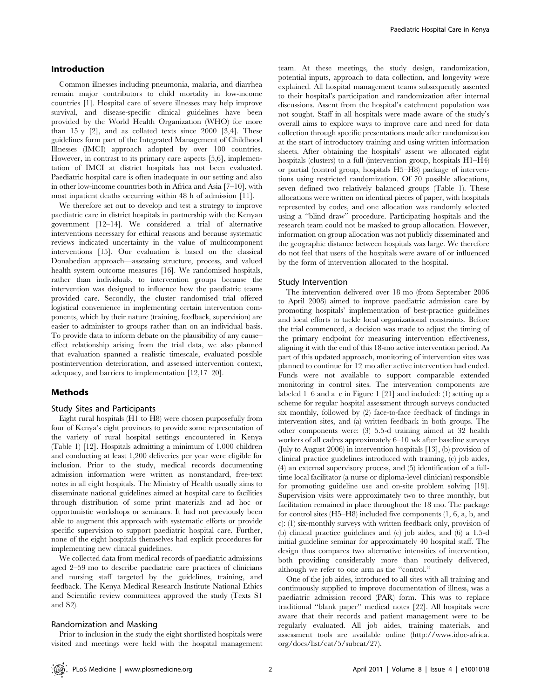## Introduction

Common illnesses including pneumonia, malaria, and diarrhea remain major contributors to child mortality in low-income countries [1]. Hospital care of severe illnesses may help improve survival, and disease-specific clinical guidelines have been provided by the World Health Organization (WHO) for more than  $15 y [2]$ , and as collated texts since  $2000 [3,4]$ . These guidelines form part of the Integrated Management of Childhood Illnesses (IMCI) approach adopted by over 100 countries. However, in contrast to its primary care aspects [5,6], implementation of IMCI at district hospitals has not been evaluated. Paediatric hospital care is often inadequate in our setting and also in other low-income countries both in Africa and Asia [7–10], with most inpatient deaths occurring within 48 h of admission [11].

We therefore set out to develop and test a strategy to improve paediatric care in district hospitals in partnership with the Kenyan government [12–14]. We considered a trial of alternative interventions necessary for ethical reasons and because systematic reviews indicated uncertainty in the value of multicomponent interventions [15]. Our evaluation is based on the classical Donabedian approach—assessing structure, process, and valued health system outcome measures [16]. We randomised hospitals, rather than individuals, to intervention groups because the intervention was designed to influence how the paediatric teams provided care. Secondly, the cluster randomised trial offered logistical convenience in implementing certain intervention components, which by their nature (training, feedback, supervision) are easier to administer to groups rather than on an individual basis. To provide data to inform debate on the plausibility of any cause– effect relationship arising from the trial data, we also planned that evaluation spanned a realistic timescale, evaluated possible postintervention deterioration, and assessed intervention context, adequacy, and barriers to implementation [12,17–20].

# Methods

# Study Sites and Participants

Eight rural hospitals (H1 to H8) were chosen purposefully from four of Kenya's eight provinces to provide some representation of the variety of rural hospital settings encountered in Kenya (Table 1) [12]. Hospitals admitting a minimum of 1,000 children and conducting at least 1,200 deliveries per year were eligible for inclusion. Prior to the study, medical records documenting admission information were written as nonstandard, free-text notes in all eight hospitals. The Ministry of Health usually aims to disseminate national guidelines aimed at hospital care to facilities through distribution of some print materials and ad hoc or opportunistic workshops or seminars. It had not previously been able to augment this approach with systematic efforts or provide specific supervision to support paediatric hospital care. Further, none of the eight hospitals themselves had explicit procedures for implementing new clinical guidelines.

We collected data from medical records of paediatric admissions aged 2–59 mo to describe paediatric care practices of clinicians and nursing staff targeted by the guidelines, training, and feedback. The Kenya Medical Research Institute National Ethics and Scientific review committees approved the study (Texts S1 and S2).

## Randomization and Masking

Prior to inclusion in the study the eight shortlisted hospitals were visited and meetings were held with the hospital management team. At these meetings, the study design, randomization, potential inputs, approach to data collection, and longevity were explained. All hospital management teams subsequently assented to their hospital's participation and randomization after internal discussions. Assent from the hospital's catchment population was not sought. Staff in all hospitals were made aware of the study's overall aims to explore ways to improve care and need for data collection through specific presentations made after randomization at the start of introductory training and using written information sheets. After obtaining the hospitals' assent we allocated eight hospitals (clusters) to a full (intervention group, hospitals  $H1-H4$ ) or partial (control group, hospitals H5–H8) package of interventions using restricted randomization. Of 70 possible allocations, seven defined two relatively balanced groups (Table 1). These allocations were written on identical pieces of paper, with hospitals represented by codes, and one allocation was randomly selected using a ''blind draw'' procedure. Participating hospitals and the research team could not be masked to group allocation. However, information on group allocation was not publicly disseminated and the geographic distance between hospitals was large. We therefore do not feel that users of the hospitals were aware of or influenced by the form of intervention allocated to the hospital.

## Study Intervention

The intervention delivered over 18 mo (from September 2006 to April 2008) aimed to improve paediatric admission care by promoting hospitals' implementation of best-practice guidelines and local efforts to tackle local organizational constraints. Before the trial commenced, a decision was made to adjust the timing of the primary endpoint for measuring intervention effectiveness, aligning it with the end of this 18-mo active intervention period. As part of this updated approach, monitoring of intervention sites was planned to continue for 12 mo after active intervention had ended. Funds were not available to support comparable extended monitoring in control sites. The intervention components are labeled 1–6 and a–c in Figure 1 [21] and included: (1) setting up a scheme for regular hospital assessment through surveys conducted six monthly, followed by (2) face-to-face feedback of findings in intervention sites, and (a) written feedback in both groups. The other components were: (3) 5.5-d training aimed at 32 health workers of all cadres approximately 6–10 wk after baseline surveys (July to August 2006) in intervention hospitals [13], (b) provision of clinical practice guidelines introduced with training, (c) job aides, (4) an external supervisory process, and (5) identification of a fulltime local facilitator (a nurse or diploma-level clinician) responsible for promoting guideline use and on-site problem solving [19]. Supervision visits were approximately two to three monthly, but facilitation remained in place throughout the 18 mo. The package for control sites (H5–H8) included five components (1, 6, a, b, and c): (1) six-monthly surveys with written feedback only, provision of (b) clinical practice guidelines and (c) job aides, and (6) a 1.5-d initial guideline seminar for approximately 40 hospital staff. The design thus compares two alternative intensities of intervention, both providing considerably more than routinely delivered, although we refer to one arm as the ''control.''

One of the job aides, introduced to all sites with all training and continuously supplied to improve documentation of illness, was a paediatric admission record (PAR) form. This was to replace traditional ''blank paper'' medical notes [22]. All hospitals were aware that their records and patient management were to be regularly evaluated. All job aides, training materials, and assessment tools are available online (http://www.idoc-africa. org/docs/list/cat/5/subcat/27).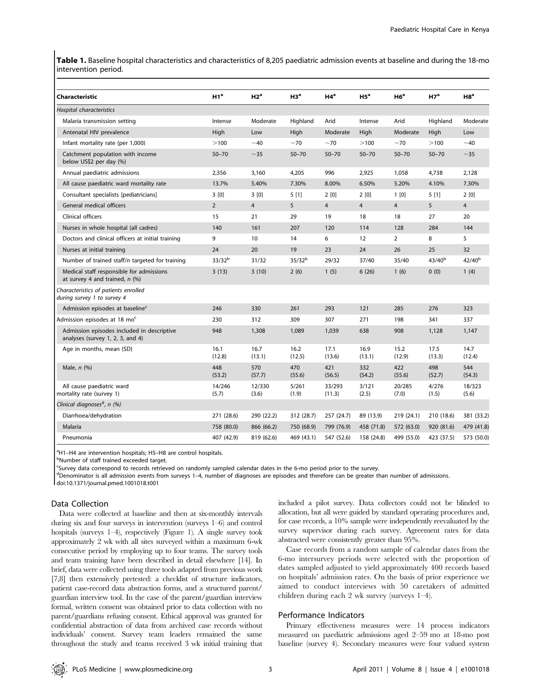Table 1. Baseline hospital characteristics and characteristics of 8,205 paediatric admission events at baseline and during the 18-mo intervention period.

| Characteristic                                                                 | H1 <sup>a</sup>    | H2 <sup>a</sup> | H3 <sup>a</sup> | $H4^a$           | H5 <sup>a</sup> | H6 <sup>a</sup> | H7 <sup>a</sup> | H8 <sup>a</sup> |
|--------------------------------------------------------------------------------|--------------------|-----------------|-----------------|------------------|-----------------|-----------------|-----------------|-----------------|
| Hospital characteristics                                                       |                    |                 |                 |                  |                 |                 |                 |                 |
| Malaria transmission setting                                                   | Intense            | Moderate        | Highland        | Arid             | Intense         | Arid            | Highland        | Moderate        |
| Antenatal HIV prevalence                                                       | High               | Low             | High            | Moderate         | High            | Moderate        | High            | Low             |
| Infant mortality rate (per 1,000)                                              | >100               | $~1$ –40        | $~1$ 70         | $~1$ 70          | >100            | $~1$ 70         | >100            | ~10             |
| Catchment population with income<br>below US\$2 per day (%)                    | $50 - 70$          | $~1$ - 35       | $50 - 70$       | $50 - 70$        | $50 - 70$       | $50 - 70$       | $50 - 70$       | $~1$ - 35       |
| Annual paediatric admissions                                                   | 2,356              | 3,160           | 4,205           | 996              | 2,925           | 1,058           | 4,738           | 2,128           |
| All cause paediatric ward mortality rate                                       | 13.7%              | 5.40%           | 7.30%           | 8.00%            | 6.50%           | 5.20%           | 4.10%           | 7.30%           |
| Consultant specialists [pediatricians]                                         | 3[0]               | 3[0]            | 5[1]            | 2[0]             | 2[0]            | 1[0]            | 5[1]            | 2[0]            |
| General medical officers                                                       | $\overline{2}$     | $\overline{4}$  | 5               | $\overline{4}$   | $\overline{4}$  | $\overline{4}$  | 5               | $\overline{4}$  |
| Clinical officers                                                              | 15                 | 21              | 29              | 19               | 18              | 18              | 27              | 20              |
| Nurses in whole hospital (all cadres)                                          | 140                | 161             | 207             | 120              | 114             | 128             | 284             | 144             |
| Doctors and clinical officers at initial training                              | 9                  | 10              | 14              | 6                | 12              | $\overline{2}$  | 8               | 5               |
| Nurses at initial training                                                     | 24                 | 20              | 19              | 23               | 24              | 26              | 25              | 32              |
| Number of trained staff/n targeted for training                                | 33/32 <sup>b</sup> | 31/32           | $35/32^{b}$     | 29/32            | 37/40           | 35/40           | $43/40^{b}$     | $42/40^{b}$     |
| Medical staff responsible for admissions<br>at survey 4 and trained, $n$ (%)   | 3(13)              | 3(10)           | 2(6)            | 1(5)             | 6(26)           | 1(6)            | 0(0)            | 1(4)            |
| Characteristics of patients enrolled<br>during survey 1 to survey 4            |                    |                 |                 |                  |                 |                 |                 |                 |
| Admission episodes at baseline <sup>c</sup>                                    | 246                | 330             | 261             | 293              | 121             | 285             | 276             | 323             |
| Admission episodes at 18 mo <sup>c</sup>                                       | 230                | 312             | 309             | 307              | 271             | 198             | 341             | 337             |
| Admission episodes included in descriptive<br>analyses (survey 1, 2, 3, and 4) | 948                | 1,308           | 1,089           | 1,039            | 638             | 908             | 1,128           | 1,147           |
| Age in months, mean (SD)                                                       | 16.1<br>(12.8)     | 16.7<br>(13.1)  | 16.2<br>(12.5)  | 17.1<br>(13.6)   | 16.9<br>(13.1)  | 15.2<br>(12.9)  | 17.5<br>(13.3)  | 14.7<br>(12.4)  |
| Male, $n$ $(\%)$                                                               | 448<br>(53.2)      | 570<br>(57.7)   | 470<br>(55.6)   | 421<br>(56.5)    | 332<br>(54.2)   | 422<br>(55.6)   | 498<br>(52.7)   | 544<br>(54.3)   |
| All cause paediatric ward<br>mortality rate (survey 1)                         | 14/246<br>(5.7)    | 12/330<br>(3.6) | 5/261<br>(1.9)  | 33/293<br>(11.3) | 3/121<br>(2.5)  | 20/285<br>(7.0) | 4/276<br>(1.5)  | 18/323<br>(5.6) |
| Clinical diagnoses <sup>d</sup> , n (%)                                        |                    |                 |                 |                  |                 |                 |                 |                 |
| Diarrhoea/dehydration                                                          | 271 (28.6)         | 290 (22.2)      | 312 (28.7)      | 257 (24.7)       | 89 (13.9)       | 219 (24.1)      | 210 (18.6)      | 381 (33.2)      |
| <b>Malaria</b>                                                                 | 758 (80.0)         | 866 (66.2)      | 750 (68.9)      | 799 (76.9)       | 458 (71.8)      | 572 (63.0)      | 920 (81.6)      | 479 (41.8)      |
| Pneumonia                                                                      | 407 (42.9)         | 819 (62.6)      | 469 (43.1)      | 547 (52.6)       | 158 (24.8)      | 499 (55.0)      | 423 (37.5)      | 573 (50.0)      |

<sup>a</sup>H1-H4 are intervention hospitals; H5-H8 are control hospitals.

**bNumber of staff trained exceeded target.** 

<sup>c</sup>Survey data correspond to records retrieved on randomly sampled calendar dates in the 6-mo period prior to the survey.

<sup>d</sup>Denominator is all admission events from surveys 1–4, number of diagnoses are episodes and therefore can be greater than number of admissions.

doi:10.1371/journal.pmed.1001018.t001

# Data Collection

Data were collected at baseline and then at six-monthly intervals during six and four surveys in intervention (surveys 1–6) and control hospitals (surveys 1–4), respectively (Figure 1). A single survey took approximately 2 wk with all sites surveyed within a maximum 6-wk consecutive period by employing up to four teams. The survey tools and team training have been described in detail elsewhere [14]. In brief, data were collected using three tools adapted from previous work [7,8] then extensively pretested: a checklist of structure indicators, patient case-record data abstraction forms, and a structured parent/ guardian interview tool. In the case of the parent/guardian interview formal, written consent was obtained prior to data collection with no parent/guardians refusing consent. Ethical approval was granted for confidential abstraction of data from archived case records without individuals' consent. Survey team leaders remained the same throughout the study and teams received 3 wk initial training that included a pilot survey. Data collectors could not be blinded to allocation, but all were guided by standard operating procedures and, for case records, a 10% sample were independently reevaluated by the survey supervisor during each survey. Agreement rates for data abstracted were consistently greater than 95%.

Case records from a random sample of calendar dates from the 6-mo intersurvey periods were selected with the proportion of dates sampled adjusted to yield approximately 400 records based on hospitals' admission rates. On the basis of prior experience we aimed to conduct interviews with 50 caretakers of admitted children during each 2 wk survey (surveys 1–4).

## Performance Indicators

Primary effectiveness measures were 14 process indicators measured on paediatric admissions aged 2–59 mo at 18-mo post baseline (survey 4). Secondary measures were four valued system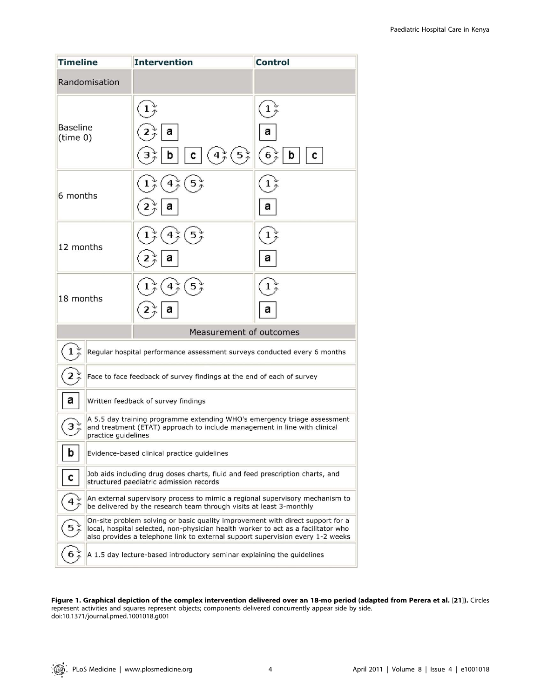| <b>Timeline</b>      |                     | <b>Intervention</b>                                                                                                                                                                                                                                   | <b>Control</b>                |  |  |  |  |
|----------------------|---------------------|-------------------------------------------------------------------------------------------------------------------------------------------------------------------------------------------------------------------------------------------------------|-------------------------------|--|--|--|--|
|                      | Randomisation       |                                                                                                                                                                                                                                                       |                               |  |  |  |  |
| Baseline<br>(time 0) |                     | а<br>$42_{\mathcal{P}}$<br>$(5*)$<br>c                                                                                                                                                                                                                | а<br>$6\frac{v}{4}$<br>с<br>b |  |  |  |  |
| 6 months             |                     | 4                                                                                                                                                                                                                                                     | 1<br>а                        |  |  |  |  |
| 12 months            |                     |                                                                                                                                                                                                                                                       | а                             |  |  |  |  |
| 18 months            |                     |                                                                                                                                                                                                                                                       | 1<br>а                        |  |  |  |  |
|                      |                     | Measurement of outcomes                                                                                                                                                                                                                               |                               |  |  |  |  |
|                      |                     | Regular hospital performance assessment surveys conducted every 6 months                                                                                                                                                                              |                               |  |  |  |  |
|                      |                     | Face to face feedback of survey findings at the end of each of survey                                                                                                                                                                                 |                               |  |  |  |  |
| а                    |                     | Written feedback of survey findings                                                                                                                                                                                                                   |                               |  |  |  |  |
| з                    | practice guidelines | A 5.5 day training programme extending WHO's emergency triage assessment<br>and treatment (ETAT) approach to include management in line with clinical                                                                                                 |                               |  |  |  |  |
| b                    |                     | Evidence-based clinical practice guidelines                                                                                                                                                                                                           |                               |  |  |  |  |
| C                    |                     | Job aids including drug doses charts, fluid and feed prescription charts, and<br>structured paediatric admission records                                                                                                                              |                               |  |  |  |  |
|                      |                     | An external supervisory process to mimic a regional supervisory mechanism to<br>be delivered by the research team through visits at least 3-monthly                                                                                                   |                               |  |  |  |  |
|                      |                     | On-site problem solving or basic quality improvement with direct support for a<br>local, hospital selected, non-physician health worker to act as a facilitator who<br>also provides a telephone link to external support supervision every 1-2 weeks |                               |  |  |  |  |
|                      |                     | A 1.5 day lecture-based introductory seminar explaining the guidelines                                                                                                                                                                                |                               |  |  |  |  |

Figure 1. Graphical depiction of the complex intervention delivered over an 18-mo period (adapted from Perera et al. [21]). Circles represent activities and squares represent objects; components delivered concurrently appear side by side. doi:10.1371/journal.pmed.1001018.g001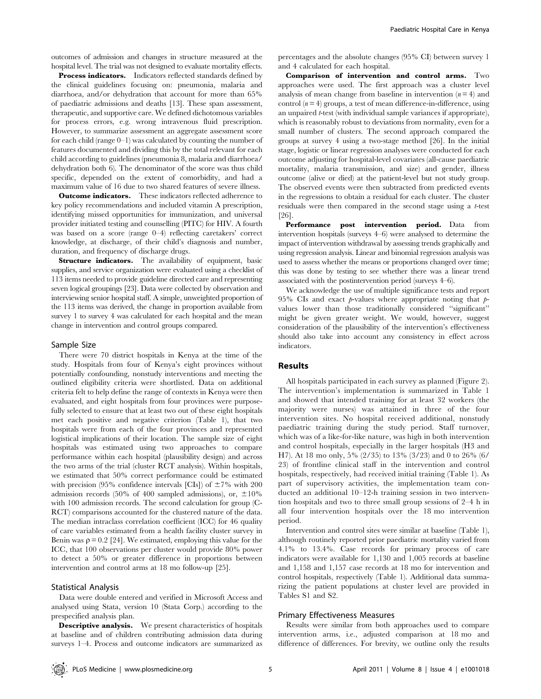outcomes of admission and changes in structure measured at the hospital level. The trial was not designed to evaluate mortality effects.

Process indicators. Indicators reflected standards defined by the clinical guidelines focusing on: pneumonia, malaria and diarrhoea, and/or dehydration that account for more than 65% of paediatric admissions and deaths [13]. These span assessment, therapeutic, and supportive care. We defined dichotomous variables for process errors, e.g. wrong intravenous fluid prescription. However, to summarize assessment an aggregate assessment score for each child (range  $0-1$ ) was calculated by counting the number of features documented and dividing this by the total relevant for each child according to guidelines (pneumonia 8, malaria and diarrhoea/ dehydration both 6). The denominator of the score was thus child specific, depended on the extent of comorbidity, and had a maximum value of 16 due to two shared features of severe illness.

**Outcome indicators.** These indicators reflected adherence to key policy recommendations and included vitamin A prescription, identifying missed opportunities for immunization, and universal provider initiated testing and counselling (PITC) for HIV. A fourth was based on a score (range 0–4) reflecting caretakers' correct knowledge, at discharge, of their child's diagnosis and number, duration, and frequency of discharge drugs.

Structure indicators. The availability of equipment, basic supplies, and service organization were evaluated using a checklist of 113 items needed to provide guideline directed care and representing seven logical groupings [23]. Data were collected by observation and interviewing senior hospital staff. A simple, unweighted proportion of the 113 items was derived, the change in proportion available from survey 1 to survey 4 was calculated for each hospital and the mean change in intervention and control groups compared.

#### Sample Size

There were 70 district hospitals in Kenya at the time of the study. Hospitals from four of Kenya's eight provinces without potentially confounding, nonstudy interventions and meeting the outlined eligibility criteria were shortlisted. Data on additional criteria felt to help define the range of contexts in Kenya were then evaluated, and eight hospitals from four provinces were purposefully selected to ensure that at least two out of these eight hospitals met each positive and negative criterion (Table 1), that two hospitals were from each of the four provinces and represented logistical implications of their location. The sample size of eight hospitals was estimated using two approaches to compare performance within each hospital (plausibility design) and across the two arms of the trial (cluster RCT analysis). Within hospitals, we estimated that 50% correct performance could be estimated with precision (95% confidence intervals [CIs]) of  $\pm 7\%$  with 200 admission records (50% of 400 sampled admissions), or,  $\pm 10\%$ with 100 admission records. The second calculation for group (C-RCT) comparisons accounted for the clustered nature of the data. The median intraclass correlation coefficient (ICC) for 46 quality of care variables estimated from a health facility cluster survey in Benin was  $\rho = 0.2$  [24]. We estimated, employing this value for the ICC, that 100 observations per cluster would provide 80% power to detect a 50% or greater difference in proportions between intervention and control arms at 18 mo follow-up [25].

# Statistical Analysis

Data were double entered and verified in Microsoft Access and analysed using Stata, version 10 (Stata Corp.) according to the prespecified analysis plan.

Descriptive analysis. We present characteristics of hospitals at baseline and of children contributing admission data during surveys 1–4. Process and outcome indicators are summarized as

percentages and the absolute changes (95% CI) between survey 1 and 4 calculated for each hospital.

Comparison of intervention and control arms. Two approaches were used. The first approach was a cluster level analysis of mean change from baseline in intervention  $(n = 4)$  and control  $(n = 4)$  groups, a test of mean difference-in-difference, using an unpaired *t*-test (with individual sample variances if appropriate), which is reasonably robust to deviations from normality, even for a small number of clusters. The second approach compared the groups at survey 4 using a two-stage method [26]. In the initial stage, logistic or linear regression analyses were conducted for each outcome adjusting for hospital-level covariates (all-cause paediatric mortality, malaria transmission, and size) and gender, illness outcome (alive or died) at the patient-level but not study group. The observed events were then subtracted from predicted events in the regressions to obtain a residual for each cluster. The cluster residuals were then compared in the second stage using a t-test [26].

Performance post intervention period. Data from intervention hospitals (surveys 4–6) were analysed to determine the impact of intervention withdrawal by assessing trends graphically and using regression analysis. Linear and binomial regression analysis was used to assess whether the means or proportions changed over time; this was done by testing to see whether there was a linear trend associated with the postintervention period (surveys 4–6).

We acknowledge the use of multiple significance tests and report 95% CIs and exact  $p$ -values where appropriate noting that  $p$ values lower than those traditionally considered ''significant'' might be given greater weight. We would, however, suggest consideration of the plausibility of the intervention's effectiveness should also take into account any consistency in effect across indicators.

# Results

All hospitals participated in each survey as planned (Figure 2). The intervention's implementation is summarized in Table 1 and showed that intended training for at least 32 workers (the majority were nurses) was attained in three of the four intervention sites. No hospital received additional, nonstudy paediatric training during the study period. Staff turnover, which was of a like-for-like nature, was high in both intervention and control hospitals, especially in the larger hospitals (H3 and H7). At 18 mo only, 5% (2/35) to 13% (3/23) and 0 to 26% (6/ 23) of frontline clinical staff in the intervention and control hospitals, respectively, had received initial training (Table 1). As part of supervisory activities, the implementation team conducted an additional 10–12-h training session in two intervention hospitals and two to three small group sessions of 2–4 h in all four intervention hospitals over the 18 mo intervention period.

Intervention and control sites were similar at baseline (Table 1), although routinely reported prior paediatric mortality varied from 4.1% to 13.4%. Case records for primary process of care indicators were available for 1,130 and 1,005 records at baseline and 1,158 and 1,157 case records at 18 mo for intervention and control hospitals, respectively (Table 1). Additional data summarizing the patient populations at cluster level are provided in Tables S1 and S2.

## Primary Effectiveness Measures

Results were similar from both approaches used to compare intervention arms, i.e., adjusted comparison at 18 mo and difference of differences. For brevity, we outline only the results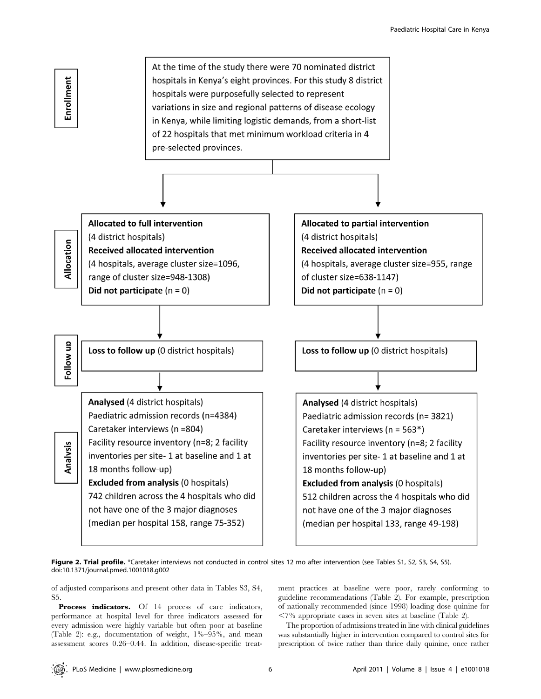

Figure 2. Trial profile. \*Caretaker interviews not conducted in control sites 12 mo after intervention (see Tables S1, S2, S3, S4, S5). doi:10.1371/journal.pmed.1001018.g002

of adjusted comparisons and present other data in Tables S3, S4, S5.

Process indicators. Of 14 process of care indicators, performance at hospital level for three indicators assessed for every admission were highly variable but often poor at baseline (Table 2): e.g., documentation of weight, 1%–95%, and mean assessment scores 0.26–0.44. In addition, disease-specific treatment practices at baseline were poor, rarely conforming to guideline recommendations (Table 2). For example, prescription of nationally recommended (since 1998) loading dose quinine for  $\langle 7\%$  appropriate cases in seven sites at baseline (Table 2).

The proportion of admissions treated in line with clinical guidelines was substantially higher in intervention compared to control sites for prescription of twice rather than thrice daily quinine, once rather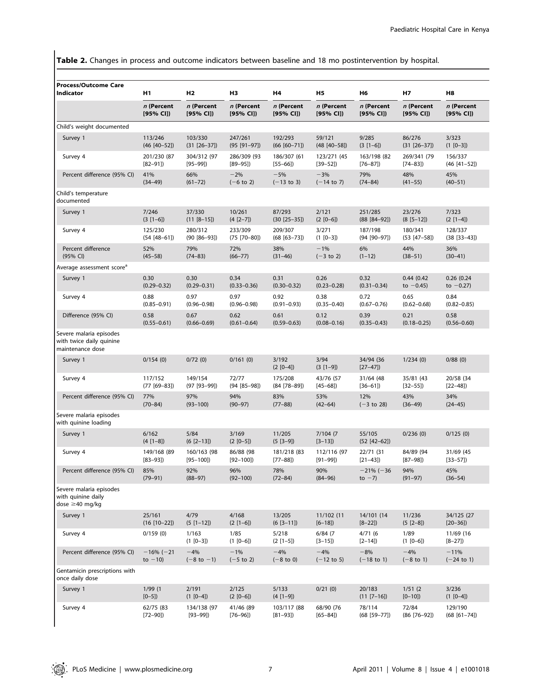Table 2. Changes in process and outcome indicators between baseline and 18 mo postintervention by hospital.

| <b>Process/Outcome Care</b><br>Indicator                                | H1                   | H2                     | H3                   | H4                    | Н5                    | Н6                             | Н7                    | H8                      |
|-------------------------------------------------------------------------|----------------------|------------------------|----------------------|-----------------------|-----------------------|--------------------------------|-----------------------|-------------------------|
|                                                                         | n (Percent           | n (Percent             | n (Percent           | n (Percent            | n (Percent            | n (Percent                     | n (Percent            | n (Percent              |
|                                                                         | [95% CI])            | [95% CI]               | [95% CI]             | [95% CI]              | [95% CI]              | [95% CI]                       | [95% CI]              | [95% CI]                |
| Child's weight documented                                               |                      |                        |                      |                       |                       |                                |                       |                         |
| Survey 1                                                                | 113/246              | 103/330                | 247/261              | 192/293               | 59/121                | 9/285                          | 86/276                | 3/323                   |
|                                                                         | $(46 [40 - 52])$     | $(31 [26-37])$         | $(95 [91 - 97])$     | $(66 [60 - 71])$      | $(48 [40 - 58])$      | $(3 [1-6])$                    | $(31 [26-37])$        | $(1 [0-3])$             |
| Survey 4                                                                | 201/230 (87          | 304/312 (97            | 286/309 (93          | 186/307 (61           | 123/271 (45           | 163/198 (82                    | 269/341 (79           | 156/337                 |
|                                                                         | $[82 - 91]$          | $[95 - 99]$            | $[89 - 95]$          | $[55 - 66]$           | $[39 - 52]$           | $[76 - 87]$                    | $[74 - 83]$           | $(46 [41 - 52])$        |
| Percent difference (95% CI)                                             | 41%                  | 66%                    | $-2%$                | $-5%$                 | $-3%$                 | 79%                            | 48%                   | 45%                     |
|                                                                         | $(34 - 49)$          | $(61 - 72)$            | $(-6 \text{ to } 2)$ | $(-13$ to 3)          | $(-14$ to 7)          | $(74 - 84)$                    | $(41 - 55)$           | $(40 - 51)$             |
| Child's temperature<br>documented                                       |                      |                        |                      |                       |                       |                                |                       |                         |
| Survey 1                                                                | 7/246                | 37/330                 | 10/261               | 87/293                | 2/121                 | 251/285                        | 23/276                | 7/323                   |
|                                                                         | $(3 [1-6])$          | $(11 [8-15])$          | $(4 [2-7])$          | $(30 [25 - 35])$      | $(2 [0-6])$           | $(88 [84 - 92])$               | $(8 [5 - 12])$        | $(2 [1-4])$             |
| Survey 4                                                                | 125/230              | 280/312                | 233/309              | 209/307               | 3/271                 | 187/198                        | 180/341               | 128/337                 |
|                                                                         | $(54 [48 - 61])$     | $(90 [86 - 93])$       | $(75 [70 - 80])$     | $(68 [63 - 73])$      | $(1 [0-3])$           | $(94 [90 - 97])$               | $(53 [47 - 58])$      | $(38 [33 - 43])$        |
| Percent difference                                                      | 52%                  | 79%                    | 72%                  | 38%                   | $-1%$                 | 6%                             | 44%                   | 36%                     |
| (95% CI)                                                                | $(45 - 58)$          | $(74 - 83)$            | $(66 - 77)$          | $(31 - 46)$           | $(-3 to 2)$           | $(1-12)$                       | $(38 - 51)$           | $(30-41)$               |
| Average assessment score <sup>a</sup>                                   |                      |                        |                      |                       |                       |                                |                       |                         |
| Survey 1                                                                | 0.30                 | 0.30                   | 0.34                 | 0.31                  | 0.26                  | 0.32                           | 0.44(0.42)            | 0.26(0.24)              |
|                                                                         | $(0.29 - 0.32)$      | $(0.29 - 0.31)$        | $(0.33 - 0.36)$      | $(0.30 - 0.32)$       | $(0.23 - 0.28)$       | $(0.31 - 0.34)$                | to $-0.45$ )          | to $-0.27$ )            |
| Survey 4                                                                | 0.88                 | 0.97                   | 0.97                 | 0.92                  | 0.38                  | 0.72                           | 0.65                  | 0.84                    |
|                                                                         | $(0.85 - 0.91)$      | $(0.96 - 0.98)$        | $(0.96 - 0.98)$      | $(0.91 - 0.93)$       | $(0.35 - 0.40)$       | $(0.67 - 0.76)$                | $(0.62 - 0.68)$       | $(0.82 - 0.85)$         |
| Difference (95% CI)                                                     | 0.58                 | 0.67                   | 0.62                 | 0.61                  | 0.12                  | 0.39                           | 0.21                  | 0.58                    |
|                                                                         | $(0.55 - 0.61)$      | $(0.66 - 0.69)$        | $(0.61 - 0.64)$      | $(0.59 - 0.63)$       | $(0.08 - 0.16)$       | $(0.35 - 0.43)$                | $(0.18 - 0.25)$       | $(0.56 - 0.60)$         |
| Severe malaria episodes<br>with twice daily quinine<br>maintenance dose |                      |                        |                      |                       |                       |                                |                       |                         |
| Survey 1                                                                | 0/154(0)             | 0/72(0)                | 0/161(0)             | 3/192<br>$(2 [0-4])$  | 3/94<br>$(3 [1-9])$   | 34/94 (36<br>$[27-47]$         | 1/234(0)              | 0/88(0)                 |
| Survey 4                                                                | 117/152              | 149/154                | 72/77                | 175/208               | 43/76 (57             | 31/64 (48                      | 35/81 (43             | 20/58 (34               |
|                                                                         | $(77 [69 - 83])$     | $(97 [93 - 99])$       | $(94 [85 - 98])$     | $(84 [78 - 89])$      | $[45 - 68]$           | $[36 - 61]$                    | $[32 - 55]$           | $[22 - 48]$             |
| Percent difference (95% CI)                                             | 77%                  | 97%                    | 94%                  | 83%                   | 53%                   | 12%                            | 43%                   | 34%                     |
|                                                                         | $(70 - 84)$          | $(93 - 100)$           | $(90 - 97)$          | $(77 - 88)$           | $(42 - 64)$           | $(-3 \text{ to } 28)$          | $(36-49)$             | $(24 - 45)$             |
| Severe malaria episodes<br>with quinine loading                         |                      |                        |                      |                       |                       |                                |                       |                         |
| Survey 1                                                                | 6/162<br>$(4 [1-8])$ | 5/84<br>$(6 [2 - 13])$ | 3/169<br>$(2 [0-5])$ | 11/205<br>$(5 [3-9])$ | 7/104 (7<br>$[3-13]$  | 55/105<br>$(52 [42-62])$       | 0/236(0)              | 0/125(0)                |
| Survey 4                                                                | 149/168 (89          | 160/163 (98            | 86/88 (98            | 181/218 (83           | 112/116 (97           | 22/71 (31                      | 84/89 (94             | 31/69 (45               |
|                                                                         | $[83 - 93]$          | $[95 - 100]$           | $[92 - 100]$         | $[77 - 88]$           | $[91 - 99]$           | $[21 - 43]$                    | $[87 - 98]$           | $[33 - 57]$             |
| Percent difference (95% CI) 85%                                         | $(79 - 91)$          | 92%<br>$(88 - 97)$     | 96%<br>$(92 - 100)$  | 78%<br>$(72 - 84)$    | 90%<br>$(84 - 96)$    | $-21\% (-36 94\%$<br>to $-7$ ) | $(91 - 97)$           | 45%<br>$(36 - 54)$      |
| Severe malaria episodes<br>with quinine daily<br>dose $\geq$ 40 mg/kg   |                      |                        |                      |                       |                       |                                |                       |                         |
| Survey 1                                                                | 25/161               | 4/79                   | 4/168                | 13/205                | 11/102 (11            | 14/101 (14                     | 11/236                | 34/125 (27              |
|                                                                         | $(16 [10-22])$       | $(5 [1-12])$           | $(2 [1-6])$          | $(6 [3-11])$          | $[6 - 18]$            | $[8-22]$                       | $(5 [2-8])$           | $[20 - 36]$             |
| Survey 4                                                                | 0/159(0)             | 1/163<br>$(1 [0-3])$   | 1/85<br>$(1 [0-6])$  | 5/218<br>$(2 [1-5])$  | 6/84(7)<br>$[3 - 15]$ | 4/71(6)<br>$[2 - 14]$          | 1/89<br>$(1 [0-6])$   | 11/69 (16<br>$[8 - 27]$ |
| Percent difference (95% CI)                                             | $-16% (-21)$         | $-4%$                  | $-1%$                | $-4%$                 | $-4%$                 | $-8%$                          | $-4%$                 | $-11%$                  |
|                                                                         | to $-10$ )           | $(-8 \text{ to } -1)$  | $(-5 \text{ to } 2)$ | $(-8 \text{ to } 0)$  | $(-12 \text{ to } 5)$ | $(-18 \text{ to } 1)$          | $(-8 \text{ to } 1)$  | $(-24 \text{ to } 1)$   |
| Gentamicin prescriptions with<br>once daily dose                        |                      |                        |                      |                       |                       |                                |                       |                         |
| Survey 1                                                                | 1/99(1)<br>$[0 - 5]$ | 2/191<br>$(1 [0-4])$   | 2/125<br>$(2 [0-6])$ | 5/133<br>$(4 [1-9])$  | 0/21(0)               | 20/183<br>$(11 [7-16])$        | 1/51(2)<br>$[0 - 10]$ | 3/236<br>$(1 [0-4])$    |
| Survey 4                                                                | 62/75 (83            | 134/138 (97            | 41/46 (89            | 103/117 (88           | 68/90 (76             | 78/114                         | 72/84                 | 129/190                 |
|                                                                         | $[72 - 90])$         | $[93 - 99]$            | $[76 - 96]$          | $[81 - 93]$           | $[65 - 84]$           | $(68 [59 - 77])$               | $(86 [76 - 92])$      | $(68 [61 - 74])$        |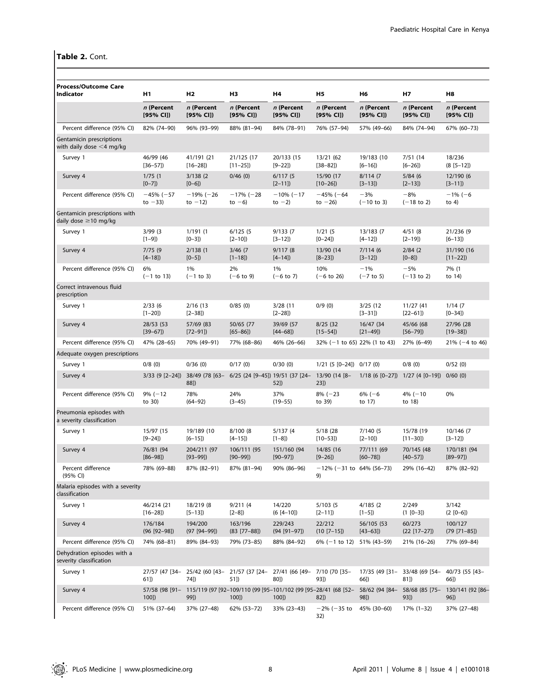# Table 2. Cont.

| <b>Process/Outcome Care</b><br>Indicator                    | H1                          | H2                                                                                | H <sub>3</sub>              | Η4                          | <b>H5</b>                         | H6                             | Н7                                                  | H8                                      |
|-------------------------------------------------------------|-----------------------------|-----------------------------------------------------------------------------------|-----------------------------|-----------------------------|-----------------------------------|--------------------------------|-----------------------------------------------------|-----------------------------------------|
|                                                             | n (Percent<br>[95% CI]      | n (Percent<br>[95% CI]                                                            | n (Percent<br>[95% CI]      | n (Percent<br>[95% CI]      | n (Percent<br>[95% CI])           | n (Percent<br>[95% CI]         | n (Percent<br>[95% CI]                              | n (Percent<br>[95% CI]                  |
| Percent difference (95% CI)                                 | 82% (74-90)                 | 96% (93-99)                                                                       | 88% (81-94)                 | 84% (78-91)                 | 76% (57-94)                       | 57% (49-66)                    | 84% (74-94)                                         | 67% (60-73)                             |
| Gentamicin prescriptions<br>with daily dose $<$ 4 mg/kg     |                             |                                                                                   |                             |                             |                                   |                                |                                                     |                                         |
| Survey 1                                                    | 46/99 (46<br>$[36 - 57]$    | 41/191 (21<br>$[16 - 28]$                                                         | 21/125 (17<br>$[11 - 25]$   | 20/133 (15<br>$[9 - 22]$    | 13/21 (62<br>$[38 - 82]$          | 19/183 (10<br>$[6 - 16]$       | 7/51(14)<br>$[6 - 26]$                              | 18/236<br>$(8 [5 - 12])$                |
| Survey 4                                                    | 1/75(1)<br>$[0 - 7]$        | 3/138(2)<br>$[0-6]$                                                               | 0/46(0)                     | 6/117(5<br>$[2 - 11]$       | 15/90 (17<br>$[10-26]$            | 8/114(7)<br>$[3-13]$           | 5/84(6)<br>$[2 - 13]$                               | 12/190 (6<br>$[3-11]$                   |
| Percent difference (95% CI)                                 | $-45% (-57)$<br>to $-33$    | $-19% (-26)$<br>to $-12$ )                                                        | $-17% (-28)$<br>to $-6$ )   | $-10\%$ (-17<br>to $-2$ )   | $-45% (-64)$<br>to $-26$ )        | $-3%$<br>$(-10 \text{ to } 3)$ | $-8%$<br>$(-18$ to 2)                               | $-1\% (-6)$<br>to $4)$                  |
| Gentamicin prescriptions with<br>daily dose $\geq$ 10 mg/kg |                             |                                                                                   |                             |                             |                                   |                                |                                                     |                                         |
| Survey 1                                                    | 3/99(3)<br>$[1-9]$          | 1/191(1)<br>$[0-3]$                                                               | 6/125(5)<br>$[2 - 10]$      | 9/133(7)<br>$[3-12]$        | 1/21(5<br>$[0-24]$                | 13/183 (7<br>$[4 - 12]$        | 4/51(8)<br>$[2 - 19]$                               | 21/236 (9<br>$[6 - 13]$                 |
| Survey 4                                                    | 7/75(9)<br>$[4 - 18]$       | 2/138(1)<br>$[0 - 5]$                                                             | 3/46(7)<br>$[1 - 18]$       | 9/117(8)<br>$[4 - 14]$      | 13/90 (14<br>$[8-23]$             | 7/114(6)<br>$[3-12]$           | 2/84(2)<br>$[0-8]$                                  | 31/190 (16<br>$[11 - 22]$               |
| Percent difference (95% CI)                                 | 6%<br>$(-1$ to 13)          | 1%<br>$(-1 to 3)$                                                                 | 2%<br>$(-6 \text{ to } 9)$  | 1%<br>$(-6 to 7)$           | 10%<br>$(-6 \text{ to } 26)$      | $-1%$<br>$(-7$ to 5)           | $-5%$<br>$(-13$ to 2)                               | 7% (1<br>to 14)                         |
| Correct intravenous fluid<br>prescription                   |                             |                                                                                   |                             |                             |                                   |                                |                                                     |                                         |
| Survey 1                                                    | 2/33(6)<br>$[1 - 20]$       | 2/16(13)<br>$[2 - 38]$                                                            | 0/85(0)                     | 3/28(11)<br>$[2 - 28]$      | 0/9(0)                            | 3/25(12)<br>$[3 - 31]$         | 11/27 (41<br>$[22 - 61]$                            | 1/14(7)<br>$[0 - 34]$                   |
| Survey 4                                                    | 28/53 (53<br>$[39-67]$      | 57/69 (83<br>$[72 - 91]$                                                          | 50/65 (77<br>$[65 - 86]$    | 39/69 (57<br>$[44 - 68]$    | 8/25(32)<br>$[15 - 54]$           | 16/47 (34<br>$[21-49]$         | 45/66 (68<br>$[56 - 79]$                            | 27/96 (28<br>$[19 - 38]$                |
| Percent difference (95% CI)                                 | 47% (28-65)                 | 70% (49-91)                                                                       | 77% (68-86)                 | 46% (26-66)                 | $32\%$ (-1 to 65) 22% (1 to 43)   |                                | 27% (6-49)                                          | $21\%$ (-4 to 46)                       |
| Adequate oxygen prescriptions                               |                             |                                                                                   |                             |                             |                                   |                                |                                                     |                                         |
| Survey 1                                                    | 0/8(0)                      | 0/36(0)                                                                           | 0/17(0)                     | 0/30(0)                     | $1/21$ (5 $[0-24]$ ) $0/17$ (0)   |                                | 0/8(0)                                              | 0/52(0)                                 |
| Survey 4                                                    | $3/33$ (9 $[2-24]$ )        | 38/49 (78 [63- 6/25 (24 [9-45]) 19/51 (37 [24- 13/90 (14 [8-<br>88])              |                             | 52])                        | $23$ ])                           |                                | $1/18$ (6 [0-27]) $1/27$ (4 [0-19]) 0/60 (0)        |                                         |
| Percent difference (95% CI)                                 | $9\% (-12)$<br>to 30)       | 78%<br>$(64 - 92)$                                                                | 24%<br>$(3-45)$             | 37%<br>$(19 - 55)$          | $8\% (-23)$<br>to 39)             | $6\% (-6)$<br>to 17)           | $4\% (-10$<br>to 18)                                | 0%                                      |
| Pneumonia episodes with<br>a severity classification        |                             |                                                                                   |                             |                             |                                   |                                |                                                     |                                         |
| Survey 1                                                    | 15/97 (15<br>$[9 - 24]$     | 19/189 (10<br>$[6 - 15]$                                                          | 8/100 (8<br>$[4 - 15]$      | 5/137(4)<br>$[1-8]$         | 5/18 (28)<br>$[10 - 53]$          | 7/140(5)<br>$[2 - 10]$         | 15/78 (19<br>$[11 - 30]$                            | 10/146 (7<br>$[3-12]$                   |
| Survey 4                                                    | 76/81 (94<br>$[86 - 98]$    | 204/211 (97<br>$[93 - 99]$                                                        | 106/111 (95<br>$[90 - 99]$  | 151/160 (94<br>$[90 - 97]$  | 14/85 (16<br>$[9 - 26]$           | 77/111 (69<br>$[60 - 78]$      | 70/145 (48<br>$[40 - 57]$                           | 170/181 (94<br>$[89 - 97]$              |
| Percent difference<br>(95% CI)                              | 78% (69-88)                 | 87% (82-91)                                                                       | 87% (81-94)                 | 90% (86-96)                 | $-12\%$ (-31 to 64% (56-73)<br>9) |                                | 29% (16-42)                                         | 87% (82-92)                             |
| Malaria episodes with a severity<br>classification          |                             |                                                                                   |                             |                             |                                   |                                |                                                     |                                         |
| Survey 1                                                    | 46/214 (21<br>$[16 - 28]$   | 18/219 (8<br>$[5-13]$                                                             | 9/211(4)<br>$[2-8]$         | 14/220<br>$(6 [4 - 10])$    | 5/103(5)<br>$[2 - 11]$            | 4/185(2)<br>$[1 - 5]$          | 2/249<br>$(1 [0-3])$                                | 3/142<br>$(2 [0-6])$                    |
| Survey 4                                                    | 176/184<br>$(96 [92 - 98])$ | 194/200<br>$(97 [94 - 99])$                                                       | 163/196<br>$(83 [77 - 88])$ | 229/243<br>$(94 [91 - 97])$ | 22/212<br>$(10 [7 - 15])$         | 56/105 (53<br>$[43-63]$        | 60/273<br>$(22 [17-27])$                            | 100/127<br>$(79 [71 - 85])$             |
| Percent difference (95% CI)                                 | 74% (68-81)                 | 89% (84-93)                                                                       | 79% (73-85)                 | 88% (84-92)                 | 6% (-1 to 12) 51% (43-59)         |                                | 21% (16-26)                                         | 77% (69-84)                             |
| Dehydration episodes with a<br>severity classification      |                             |                                                                                   |                             |                             |                                   |                                |                                                     |                                         |
| Survey 1                                                    | 61])                        | 27/57 (47 [34- 25/42 (60 [43- 21/57 (37 [24- 27/41 (66 [49- 7/10 (70 [35-<br>74]) | 51])                        | 80])                        | 93])                              | $66$ ])                        | 17/35 (49 [31- 33/48 (69 [54- 40/73 (55 [43-<br>81] | $66$ ])                                 |
| Survey 4                                                    | 57/58 (98 [91-<br>100]      | 115/119 (97 [92-109/110 (99 [95-101/102 (99 [95-28/41 (68 [52-<br>99])            | 100]                        | 100]                        | 82])                              | 58/62 (94 [84-<br>98])         | 93])                                                | 58/68 (85 [75- 130/141 (92 [86-<br>96]) |
| Percent difference (95% CI)                                 | 51% (37-64)                 | 37% (27-48)                                                                       | 62% (53-72)                 | 33% (23-43)                 | $-2\%$ ( $-35$ to<br>32)          | 45% (30-60)                    | 17% (1-32)                                          | 37% (27-48)                             |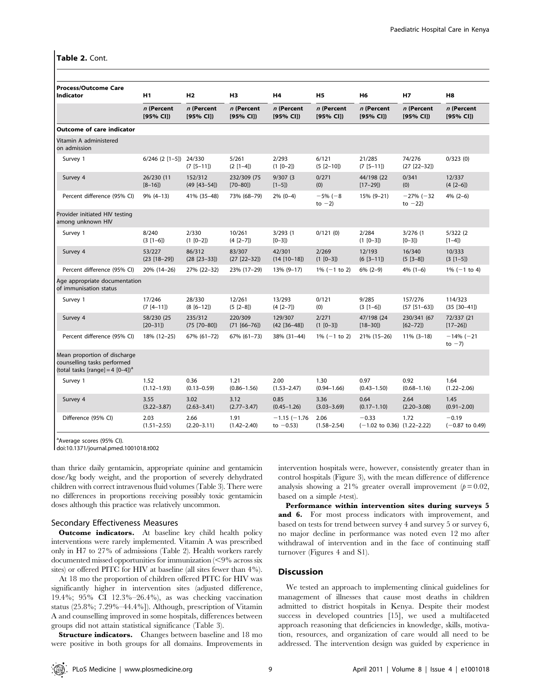## Table 2. Cont.

| <b>Process/Outcome Care</b><br>Indicator                                                                     | H1                         | H <sub>2</sub>              | H <sub>3</sub>              | H4                             | H <sub>5</sub>          | H <sub>6</sub>                                        | <b>H7</b>                       | H <sub>8</sub>               |
|--------------------------------------------------------------------------------------------------------------|----------------------------|-----------------------------|-----------------------------|--------------------------------|-------------------------|-------------------------------------------------------|---------------------------------|------------------------------|
|                                                                                                              | n (Percent<br>[95% CI])    | n (Percent<br>[95% CI])     | n (Percent<br>[95% CI])     | n (Percent<br>[95% CI])        | n (Percent<br>[95% CII) | n (Percent<br>[95% CI])                               | n (Percent<br>[95% CI])         | n (Percent<br>[95% CI]       |
| <b>Outcome of care indicator</b>                                                                             |                            |                             |                             |                                |                         |                                                       |                                 |                              |
| Vitamin A administered<br>on admission                                                                       |                            |                             |                             |                                |                         |                                                       |                                 |                              |
| Survey 1                                                                                                     | $6/246$ (2 [1-5]) 24/330   | $(7 [5 - 11])$              | 5/261<br>$(2 [1-4])$        | 2/293<br>$(1 [0-2])$           | 6/121<br>$(5 [2 - 10])$ | 21/285<br>$(7 [5 - 11])$                              | 74/276<br>$(27 [22-32])$        | 0/323(0)                     |
| Survey 4                                                                                                     | 26/230 (11<br>$[8-16]$     | 152/312<br>$(49 [43 - 54])$ | 232/309 (75<br>$[70 - 80]$  | 9/307(3)<br>$[1 - 5]$          | 0/271<br>(0)            | 44/198 (22<br>$[17-29]$                               | 0/341<br>(0)                    | 12/337<br>$(4 [2-6])$        |
| Percent difference (95% CI)                                                                                  | $9\%$ (4-13)               | 41% (35-48)                 | 73% (68-79)                 | $2\%$ (0-4)                    | $-5%(-8)$<br>to $-2$ )  | 15% (9-21)                                            | $-27\%$ ( $-32$ )<br>to $-22$ ) | $4\%$ (2-6)                  |
| Provider initiated HIV testing<br>among unknown HIV                                                          |                            |                             |                             |                                |                         |                                                       |                                 |                              |
| Survey 1                                                                                                     | 8/240<br>$(3 [1-6])$       | 2/330<br>$(1 [0-2])$        | 10/261<br>$(4 [2-7])$       | 3/293(1)<br>$[0-3]$            | 0/121(0)                | 2/284<br>$(1 [0-3])$                                  | 3/276(1)<br>$[0-3]$             | 5/322(2)<br>$[1-4]$          |
| Survey 4                                                                                                     | 53/227<br>$(23 [18 - 29])$ | 86/312<br>$(28 [23 - 33])$  | 83/307<br>$(27 [22 - 32])$  | 42/301<br>$(14 [10-18])$       | 2/269<br>$(1 [0-3])$    | 12/193<br>$(6 [3 - 11])$                              | 16/340<br>$(5 [3-8])$           | 10/333<br>$(3 [1-5])$        |
| Percent difference (95% CI)                                                                                  | 20% (14-26)                | 27% (22-32)                 | 23% (17-29)                 | 13% (9-17)                     | $1\%$ (-1 to 2)         | $6\%$ (2-9)                                           | $4\%$ (1-6)                     | $1\%$ (-1 to 4)              |
| Age appropriate documentation<br>of immunisation status                                                      |                            |                             |                             |                                |                         |                                                       |                                 |                              |
| Survey 1                                                                                                     | 17/246<br>$(7 [4 - 11])$   | 28/330<br>$(8 [6 - 12])$    | 12/261<br>$(5 [2-8])$       | 13/293<br>$(4 [2-7])$          | 0/121<br>(0)            | 9/285<br>$(3 [1-6])$                                  | 157/276<br>$(57 [51-63])$       | 114/323<br>$(35 [30-41])$    |
| Survey 4                                                                                                     | 58/230 (25<br>$[20-31]$    | 235/312<br>$(75 [70 - 80])$ | 220/309<br>$(71 [66 - 76])$ | 129/307<br>$(42 [36-48])$      | 2/271<br>$(1 [0-3])$    | 47/198 (24<br>$[18 - 30]$                             | 230/341 (67<br>$[62 - 72]$      | 72/337 (21<br>$[17 - 26]$    |
| Percent difference (95% CI)                                                                                  | 18% (12-25)                | 67% (61-72)                 | 67% (61-73)                 | 38% (31-44)                    | $1\%$ (-1 to 2)         | 21% (15-26)                                           | $11\%$ (3-18)                   | $-14\% (-21)$<br>to $-7$ )   |
| Mean proportion of discharge<br>counselling tasks performed<br>(total tasks [range] = 4 $[0-4]$ <sup>a</sup> |                            |                             |                             |                                |                         |                                                       |                                 |                              |
| Survey 1                                                                                                     | 1.52<br>$(1.12 - 1.93)$    | 0.36<br>$(0.13 - 0.59)$     | 1.21<br>$(0.86 - 1.56)$     | 2.00<br>$(1.53 - 2.47)$        | 1.30<br>$(0.94 - 1.66)$ | 0.97<br>$(0.43 - 1.50)$                               | 0.92<br>$(0.68 - 1.16)$         | 1.64<br>$(1.22 - 2.06)$      |
| Survey 4                                                                                                     | 3.55<br>$(3.22 - 3.87)$    | 3.02<br>$(2.63 - 3.41)$     | 3.12<br>$(2.77 - 3.47)$     | 0.85<br>$(0.45 - 1.26)$        | 3.36<br>$(3.03 - 3.69)$ | 0.64<br>$(0.17 - 1.10)$                               | 2.64<br>$(2.20 - 3.08)$         | 1.45<br>$(0.91 - 2.00)$      |
| Difference (95% CI)                                                                                          | 2.03<br>$(1.51 - 2.55)$    | 2.66<br>$(2.20 - 3.11)$     | 1.91<br>$(1.42 - 2.40)$     | $-1.15(-1.76)$<br>to $-0.53$ ) | 2.06<br>$(1.58 - 2.54)$ | $-0.33$<br>$(-1.02 \text{ to } 0.36)$ $(1.22 - 2.22)$ | 1.72                            | $-0.19$<br>$(-0.87$ to 0.49) |

<sup>a</sup>Average scores (95% CI).

doi:10.1371/journal.pmed.1001018.t002

than thrice daily gentamicin, appropriate quinine and gentamicin dose/kg body weight, and the proportion of severely dehydrated children with correct intravenous fluid volumes (Table 3). There were no differences in proportions receiving possibly toxic gentamicin doses although this practice was relatively uncommon.

## Secondary Effectiveness Measures

**Outcome indicators.** At baseline key child health policy interventions were rarely implemented. Vitamin A was prescribed only in H7 to 27% of admissions (Table 2). Health workers rarely documented missed opportunities for immunization  $\langle$ <9% across six sites) or offered PITC for HIV at baseline (all sites fewer than 4%).

At 18 mo the proportion of children offered PITC for HIV was significantly higher in intervention sites (adjusted difference, 19.4%; 95% CI 12.3%–26.4%), as was checking vaccination status (25.8%; 7.29%–44.4%]). Although, prescription of Vitamin A and counselling improved in some hospitals, differences between groups did not attain statistical significance (Table 3).

**Structure indicators.** Changes between baseline and 18 mo were positive in both groups for all domains. Improvements in intervention hospitals were, however, consistently greater than in control hospitals (Figure 3), with the mean difference of difference analysis showing a 21% greater overall improvement  $(p=0.02,$ based on a simple t-test).

Performance within intervention sites during surveys 5 and 6. For most process indicators with improvement, and based on tests for trend between survey 4 and survey 5 or survey 6, no major decline in performance was noted even 12 mo after withdrawal of intervention and in the face of continuing staff turnover (Figures 4 and S1).

# Discussion

We tested an approach to implementing clinical guidelines for management of illnesses that cause most deaths in children admitted to district hospitals in Kenya. Despite their modest success in developed countries [15], we used a multifaceted approach reasoning that deficiencies in knowledge, skills, motivation, resources, and organization of care would all need to be addressed. The intervention design was guided by experience in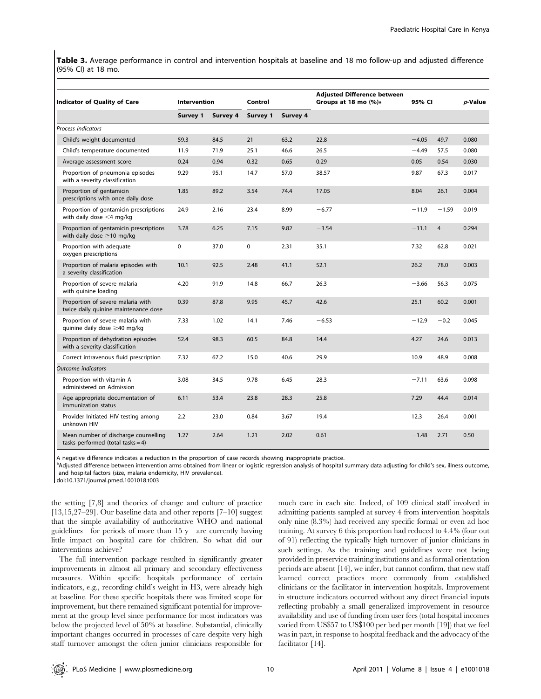Table 3. Average performance in control and intervention hospitals at baseline and 18 mo follow-up and adjusted difference (95% CI) at 18 mo.

| <b>Indicator of Quality of Care</b>                                       | <b>Intervention</b> |          | Control     |          | <b>Adjusted Difference between</b><br>Groups at 18 mo (%)a | 95% CI  |                | <i>p</i> -Value |
|---------------------------------------------------------------------------|---------------------|----------|-------------|----------|------------------------------------------------------------|---------|----------------|-----------------|
|                                                                           | Survey 1            | Survey 4 | Survey 1    | Survey 4 |                                                            |         |                |                 |
| Process indicators                                                        |                     |          |             |          |                                                            |         |                |                 |
| Child's weight documented                                                 | 59.3                | 84.5     | 21          | 63.2     | 22.8                                                       | $-4.05$ | 49.7           | 0.080           |
| Child's temperature documented                                            | 11.9                | 71.9     | 25.1        | 46.6     | 26.5                                                       | $-4.49$ | 57.5           | 0.080           |
| Average assessment score                                                  | 0.24                | 0.94     | 0.32        | 0.65     | 0.29                                                       | 0.05    | 0.54           | 0.030           |
| Proportion of pneumonia episodes<br>with a severity classification        | 9.29                | 95.1     | 14.7        | 57.0     | 38.57                                                      | 9.87    | 67.3           | 0.017           |
| Proportion of gentamicin<br>prescriptions with once daily dose            | 1.85                | 89.2     | 3.54        | 74.4     | 17.05                                                      | 8.04    | 26.1           | 0.004           |
| Proportion of gentamicin prescriptions<br>with daily dose $<$ 4 mg/kg     | 24.9                | 2.16     | 23.4        | 8.99     | $-6.77$                                                    | $-11.9$ | $-1.59$        | 0.019           |
| Proportion of gentamicin prescriptions<br>with daily dose $\geq$ 10 mg/kg | 3.78                | 6.25     | 7.15        | 9.82     | $-3.54$                                                    | $-11.1$ | $\overline{4}$ | 0.294           |
| Proportion with adequate<br>oxygen prescriptions                          | 0                   | 37.0     | $\mathbf 0$ | 2.31     | 35.1                                                       | 7.32    | 62.8           | 0.021           |
| Proportion of malaria episodes with<br>a severity classification          | 10.1                | 92.5     | 2.48        | 41.1     | 52.1                                                       | 26.2    | 78.0           | 0.003           |
| Proportion of severe malaria<br>with quinine loading                      | 4.20                | 91.9     | 14.8        | 66.7     | 26.3                                                       | $-3.66$ | 56.3           | 0.075           |
| Proportion of severe malaria with<br>twice daily quinine maintenance dose | 0.39                | 87.8     | 9.95        | 45.7     | 42.6                                                       | 25.1    | 60.2           | 0.001           |
| Proportion of severe malaria with<br>quinine daily dose ≥40 mg/kg         | 7.33                | 1.02     | 14.1        | 7.46     | $-6.53$                                                    | $-12.9$ | $-0.2$         | 0.045           |
| Proportion of dehydration episodes<br>with a severity classification      | 52.4                | 98.3     | 60.5        | 84.8     | 14.4                                                       | 4.27    | 24.6           | 0.013           |
| Correct intravenous fluid prescription                                    | 7.32                | 67.2     | 15.0        | 40.6     | 29.9                                                       | 10.9    | 48.9           | 0.008           |
| <b>Outcome</b> indicators                                                 |                     |          |             |          |                                                            |         |                |                 |
| Proportion with vitamin A<br>administered on Admission                    | 3.08                | 34.5     | 9.78        | 6.45     | 28.3                                                       | $-7.11$ | 63.6           | 0.098           |
| Age appropriate documentation of<br>immunization status                   | 6.11                | 53.4     | 23.8        | 28.3     | 25.8                                                       | 7.29    | 44.4           | 0.014           |
| Provider Initiated HIV testing among<br>unknown HIV                       | 2.2                 | 23.0     | 0.84        | 3.67     | 19.4                                                       | 12.3    | 26.4           | 0.001           |
| Mean number of discharge counselling<br>tasks performed (total tasks = 4) | 1.27                | 2.64     | 1.21        | 2.02     | 0.61                                                       | $-1.48$ | 2.71           | 0.50            |

A negative difference indicates a reduction in the proportion of case records showing inappropriate practice.

<sup>a</sup>Adjusted difference between intervention arms obtained from linear or logistic regression analysis of hospital summary data adjusting for child's sex, illness outcome, and hospital factors (size, malaria endemicity, HIV prevalence).

doi:10.1371/journal.pmed.1001018.t003

the setting [7,8] and theories of change and culture of practice  $[13,15,27-29]$ . Our baseline data and other reports  $[7-10]$  suggest that the simple availability of authoritative WHO and national guidelines—for periods of more than 15 y—are currently having little impact on hospital care for children. So what did our interventions achieve?

The full intervention package resulted in significantly greater improvements in almost all primary and secondary effectiveness measures. Within specific hospitals performance of certain indicators, e.g., recording child's weight in H3, were already high at baseline. For these specific hospitals there was limited scope for improvement, but there remained significant potential for improvement at the group level since performance for most indicators was below the projected level of 50% at baseline. Substantial, clinically important changes occurred in processes of care despite very high staff turnover amongst the often junior clinicians responsible for

much care in each site. Indeed, of 109 clinical staff involved in admitting patients sampled at survey 4 from intervention hospitals only nine (8.3%) had received any specific formal or even ad hoc training. At survey 6 this proportion had reduced to 4.4% (four out of 91) reflecting the typically high turnover of junior clinicians in such settings. As the training and guidelines were not being provided in preservice training institutions and as formal orientation periods are absent [14], we infer, but cannot confirm, that new staff learned correct practices more commonly from established clinicians or the facilitator in intervention hospitals. Improvement in structure indicators occurred without any direct financial inputs reflecting probably a small generalized improvement in resource availability and use of funding from user fees (total hospital incomes varied from US\$57 to US\$100 per bed per month [19]) that we feel was in part, in response to hospital feedback and the advocacy of the facilitator [14].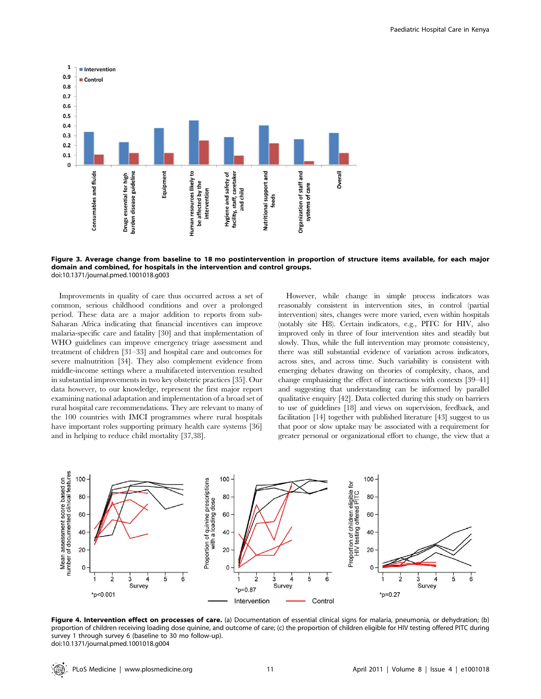

Figure 3. Average change from baseline to 18 mo postintervention in proportion of structure items available, for each major domain and combined, for hospitals in the intervention and control groups. doi:10.1371/journal.pmed.1001018.g003

Improvements in quality of care thus occurred across a set of common, serious childhood conditions and over a prolonged period. These data are a major addition to reports from sub-Saharan Africa indicating that financial incentives can improve malaria-specific care and fatality [30] and that implementation of WHO guidelines can improve emergency triage assessment and treatment of children [31–33] and hospital care and outcomes for severe malnutrition [34]. They also complement evidence from middle-income settings where a multifaceted intervention resulted in substantial improvements in two key obstetric practices [35]. Our data however, to our knowledge, represent the first major report examining national adaptation and implementation of a broad set of rural hospital care recommendations. They are relevant to many of the 100 countries with IMCI programmes where rural hospitals have important roles supporting primary health care systems [36] and in helping to reduce child mortality [37,38].

However, while change in simple process indicators was reasonably consistent in intervention sites, in control (partial intervention) sites, changes were more varied, even within hospitals (notably site H8). Certain indicators, e.g., PITC for HIV, also improved only in three of four intervention sites and steadily but slowly. Thus, while the full intervention may promote consistency, there was still substantial evidence of variation across indicators, across sites, and across time. Such variability is consistent with emerging debates drawing on theories of complexity, chaos, and change emphasizing the effect of interactions with contexts [39–41] and suggesting that understanding can be informed by parallel qualitative enquiry [42]. Data collected during this study on barriers to use of guidelines [18] and views on supervision, feedback, and facilitation [14] together with published literature [43] suggest to us that poor or slow uptake may be associated with a requirement for greater personal or organizational effort to change, the view that a



Figure 4. Intervention effect on processes of care. (a) Documentation of essential clinical signs for malaria, pneumonia, or dehydration; (b) proportion of children receiving loading dose quinine, and outcome of care; (c) the proportion of children eligible for HIV testing offered PITC during survey 1 through survey 6 (baseline to 30 mo follow-up). doi:10.1371/journal.pmed.1001018.g004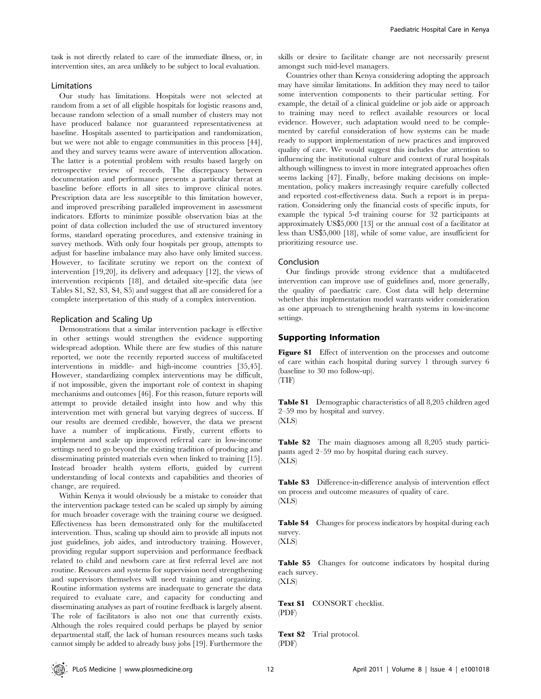task is not directly related to care of the immediate illness, or, in intervention sites, an area unlikely to be subject to local evaluation.

# Limitations

Our study has limitations. Hospitals were not selected at random from a set of all eligible hospitals for logistic reasons and, because random selection of a small number of clusters may not have produced balance nor guaranteed representativeness at baseline. Hospitals assented to participation and randomization, but we were not able to engage communities in this process [44], and they and survey teams were aware of intervention allocation. The latter is a potential problem with results based largely on retrospective review of records. The discrepancy between documentation and performance presents a particular threat at baseline before efforts in all sites to improve clinical notes. Prescription data are less susceptible to this limitation however, and improved prescribing paralleled improvement in assessment indicators. Efforts to minimize possible observation bias at the point of data collection included the use of structured inventory forms, standard operating procedures, and extensive training in survey methods. With only four hospitals per group, attempts to adjust for baseline imbalance may also have only limited success. However, to facilitate scrutiny we report on the context of intervention [19,20], its delivery and adequacy [12], the views of intervention recipients [18], and detailed site-specific data (see Tables S1, S2, S3, S4, S5) and suggest that all are considered for a complete interpretation of this study of a complex intervention.

## Replication and Scaling Up

Demonstrations that a similar intervention package is effective in other settings would strengthen the evidence supporting widespread adoption. While there are few studies of this nature reported, we note the recently reported success of multifaceted interventions in middle- and high-income countries [35,45]. However, standardizing complex interventions may be difficult, if not impossible, given the important role of context in shaping mechanisms and outcomes [46]. For this reason, future reports will attempt to provide detailed insight into how and why this intervention met with general but varying degrees of success. If our results are deemed credible, however, the data we present have a number of implications. Firstly, current efforts to implement and scale up improved referral care in low-income settings need to go beyond the existing tradition of producing and disseminating printed materials even when linked to training [15]. Instead broader health system efforts, guided by current understanding of local contexts and capabilities and theories of change, are required.

Within Kenya it would obviously be a mistake to consider that the intervention package tested can be scaled up simply by aiming for much broader coverage with the training course we designed. Effectiveness has been demonstrated only for the multifaceted intervention. Thus, scaling up should aim to provide all inputs not just guidelines, job aides, and introductory training. However, providing regular support supervision and performance feedback related to child and newborn care at first referral level are not routine. Resources and systems for supervision need strengthening and supervisors themselves will need training and organizing. Routine information systems are inadequate to generate the data required to evaluate care, and capacity for conducting and disseminating analyses as part of routine feedback is largely absent. The role of facilitators is also not one that currently exists. Although the roles required could perhaps be played by senior departmental staff, the lack of human resources means such tasks cannot simply be added to already busy jobs [19]. Furthermore the

skills or desire to facilitate change are not necessarily present amongst such mid-level managers.

Countries other than Kenya considering adopting the approach may have similar limitations. In addition they may need to tailor some intervention components to their particular setting. For example, the detail of a clinical guideline or job aide or approach to training may need to reflect available resources or local evidence. However, such adaptation would need to be complemented by careful consideration of how systems can be made ready to support implementation of new practices and improved quality of care. We would suggest this includes due attention to influencing the institutional culture and context of rural hospitals although willingness to invest in more integrated approaches often seems lacking [47]. Finally, before making decisions on implementation, policy makers increasingly require carefully collected and reported cost-effectiveness data. Such a report is in preparation. Considering only the financial costs of specific inputs, for example the typical 5-d training course for 32 participants at approximately US\$5,000 [13] or the annual cost of a facilitator at less than US\$5,000 [18], while of some value, are insufficient for prioritizing resource use.

#### Conclusion

Our findings provide strong evidence that a multifaceted intervention can improve use of guidelines and, more generally, the quality of paediatric care. Cost data will help determine whether this implementation model warrants wider consideration as one approach to strengthening health systems in low-income settings.

# Supporting Information

Figure S1 Effect of intervention on the processes and outcome of care within each hospital during survey 1 through survey 6 (baseline to 30 mo follow-up). (TIF)

Table S1 Demographic characteristics of all 8,205 children aged 2–59 mo by hospital and survey. (XLS)

Table S2 The main diagnoses among all 8,205 study participants aged 2–59 mo by hospital during each survey. (XLS)

Table S3 Difference-in-difference analysis of intervention effect on process and outcome measures of quality of care. (XLS)

Table S4 Changes for process indicators by hospital during each survey.

(XLS)

Table S5 Changes for outcome indicators by hospital during each survey. (XLS)

Text S1 CONSORT checklist. (PDF)

Text S2 Trial protocol. (PDF)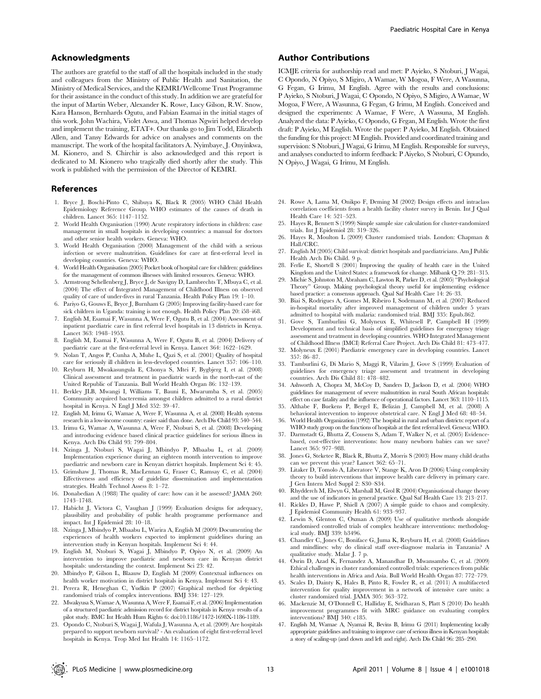## Acknowledgments

The authors are grateful to the staff of all the hospitals included in the study and colleagues from the Ministry of Public Health and Sanitation, the Ministry of Medical Services, and the KEMRI/Wellcome Trust Programme for their assistance in the conduct of this study. In addition we are grateful for the input of Martin Weber, Alexander K. Rowe, Lucy Gilson, R.W. Snow, Kara Hanson, Bernhards Ogutu, and Fabian Esamai in the initial stages of this work. John Wachira, Violet Aswa, and Thomas Ngwiri helped develop and implement the training, ETAT+. Our thanks go to Jim Todd, Elizabeth Allen, and Tansy Edwards for advice on analyses and comments on the manuscript. The work of the hospital facilitators A. Nyimbaye, J. Onyinkwa, M. Kionero, and S. Chirchir is also acknowledged and this report is dedicated to M. Kionero who tragically died shortly after the study. This work is published with the permission of the Director of KEMRI.

## References

- 1. Bryce J, Boschi-Pinto C, Shibuya K, Black R (2005) WHO Child Health Epidemiology Reference Group. WHO estimates of the causes of death in children. Lancet 365: 1147–1152.
- 2. World Health Organisation (1990) Acute respiratory infections in children: case management in small hospitals in developing countries: a manual for doctors and other senior health workers. Geneva: WHO.
- 3. World Health Organisation (2000) Management of the child with a serious infection or severe malnutrition. Guidelines for care at first-referral level in developing countries. Geneva: WHO.
- 4. World Health Organisation (2005) Pocket book of hospital care for children: guidelines for the management of common illnesses with limited resources. Geneva: WHO.
- 5. Armstrong Schellenberg J, Bryce J, de Savigny D, Lambrechts T, Mbuya C, et al. (2004) The effect of Integrated Management of Childhood Illness on observed quality of care of under-fives in rural Tanzania. Health Policy Plan 19: 1–10.
- 6. Pariyo G, Gouws E, Bryce J, Burnham G (2005) Improving facility-based care for sick children in Uganda: training is not enough. Health Policy Plan 20: i58–i68.
- 7. English M, Esamai F, Wasunna A, Were F, Ogutu B, et al. (2004) Assessment of inpatient paediatric care in first referral level hospitals in 13 districts in Kenya. Lancet 363: 1948–1953.
- 8. English M, Esamai F, Wasunna A, Were F, Ogutu B, et al. (2004) Delivery of paediatric care at the first-referral level in Kenya. Lancet 364: 1622–1629.
- 9. Nolan T, Angos P, Cunha A, Muhe L, Qazi S, et al. (2001) Quality of hospital care for seriously ill children in less-developed countries. Lancet 357: 106–110.
- 10. Reyburn H, Mwakasungula E, Chonya S, Mtei F, Bygbjerg I, et al. (2008) Clinical assessment and treatment in paediatric wards in the north-east of the United Republic of Tanzania. Bull World Health Organ 86: 132–139.
- 11. Berkley JLB, Mwangi I, Williams T, Bauni E, Mwarumba S, et al. (2005) Community acquired bacteremia amongst children admitted to a rural district hospital in Kenya. N Engl J Med 352: 39–47.
- 12. English M, Irimu G, Wamae A, Were F, Wasunna A, et al. (2008) Health systems research in a low-income country: easier said than done. Arch Dis Child 93: 540–544.
- 13. Irimu G, Wamae A, Wasunna A, Were F, Ntoburi S, et al. (2008) Developing and introducing evidence based clinical practice guidelines for serious illness in Kenya. Arch Dis Child 93: 799–804.
- 14. Nzinga J, Ntoburi S, Wagai J, Mbindyo P, Mbaabu L, et al. (2009) Implementation experience during an eighteen month intervention to improve paediatric and newborn care in Kenyan district hospitals. Implement Sci 4: 45.
- 15. Grimshaw J, Thomas R, MacLennan G, Fraser C, Ramsay C, et al. (2004) Effectiveness and efficiency of guideline dissemination and implementation strategies. Health Technol Assess 8: 1–72.
- 16. Donabedian A (1988) The quality of care: how can it be assessed? JAMA 260: 1743–1748.
- 17. Habicht J, Victora C, Vaughan J (1999) Evaluation designs for adequacy, plausibility and probability of public health programme performance and impact. Int J Epidemiol 28: 10–18.
- 18. Nzinga J, Mbindyo P, Mbaabu L, Warira A, English M (2009) Documenting the experiences of health workers expected to implement guidelines during an intervention study in Kenyan hospitals. Implement Sci 4: 44.
- 19. English M, Ntoburi S, Wagai J, Mbindyo P, Opiyo N, et al. (2009) An intervention to improve paediatric and newborn care in Kenyan district hospitals: understanding the context. Implement Sci 23: 42.
- 20. Mbindyo P, Gilson L, Blaauw D, English M (2009) Contextual influences on health worker motivation in district hospitals in Kenya. Implement Sci 4: 43.
- 21. Perera R, Heneghan C, Yudkin P (2007) Graphical method for depicting randomised trials of complex interventions. BMJ 334: 127–129.
- 22. Mwakyusa S, Wamae A, Wasunna A, Were F, Esamai F, et al. (2006) Implementation of a structured paediatric admission record for district hospitals in Kenya–results of a pilot study. BMC Int Health Hum Rights 6: doi:10.1186/1472-1698X-1186-1189.
- 23. Opondo C, Ntoburi S, Wagai J, Wafula J, Wasunna A, et al. (2009) Are hospitals prepared to support newborn survival? - An evaluation of eight first-referral level hospitals in Kenya. Trop Med Int Health 14: 1165–1172.

# Author Contributions

ICMJE criteria for authorship read and met: P Ayieko, S Ntoburi, J Wagai, C Opondo, N Opiyo, S Migiro, A Wamae, W Mogoa, F Were, A Wasunna, G Fegan, G Irimu, M English. Agree with the results and conclusions: P Ayieko, S Ntoburi, J Wagai, C Opondo, N Opiyo, S Migiro, A Wamae, W Mogoa, F Were, A Wasunna, G Fegan, G Irimu, M English. Conceived and designed the experiments: A Wamae, F Were, A Wassuna, M English. Analyzed the data: P Ayieko, C Opondo, G Fegan, M English. Wrote the first draft: P Ayieko, M English. Wrote the paper: P Ayieko, M English. Obtained the funding for this project: M English. Provided and coordinated training and supervision: S Ntoburi, J Wagai, G Irimu, M English. Responsible for surveys, and analyses conducted to inform feedback: P Aiyeko, S Ntoburi, C Opundo, N Opiyo, J Wagai, G Irimu, M English.

- 24. Rowe A, Lama M, Onikpo F, Deming M (2002) Design effects and intraclass correlation coefficients from a health facility cluster survey in Benin. Int J Qual Health Care 14: 521–523.
- 25. Hayes R, Bennett S (1999) Simple sample size calculation for cluster-randomized trials. Int J Epidemiol 28: 319–326.
- 26. Hayes R, Moulton L (2009) Cluster randomised trials. London: Chapman & Hall/CRC.
- 27. English M (2005) Child survival: district hospitals and paediatricians. Am J Public Health Arch Dis Child. 9 p.
- 28. Ferlie E, Shortell S (2001) Improving the quality of health care in the United Kingdom and the United States: a framework for change. Milbank Q 79: 281–315.
- 29. Michie S, Johnston M, Abraham C, Lawton R, Parker D, et al. (2005) ''Psychological Theory'' Group. Making psychological theory useful for implementing evidence based practice: a consensus approach. Qual Saf Health Care 14: 26–33.
- 30. Biai S, Rodrigues A, Gomes M, Ribeiro I, Sodemann M, et al. (2007) Reduced in-hospital mortality after improved management of children under 5 years admitted to hospital with malaria: randomised trial. BMJ 335: Epub.862.
- 31. Gove S, Tamburlini G, Molyneux E, Whitesell P, Campbell H (1999) Development and technical basis of simplified guidelines for emergency triage assessment and treatment in developing countries. WHO Integrated Management of Childhood Illness (IMCI) Referral Care Project. Arch Dis Child 81: 473–477.
- 32. Molyneux E (2001) Paediatric emergency care in developing countries. Lancet 357: 86–87.
- 33. Tamburlini G, Di Mario S, Maggi R, Vilarim J, Gove S (1999) Evaluation of guidelines for emergency triage assessment and treatment in developing countries. Arch Dis Child 81: 478–482.
- 34. Ashworth A, Chopra M, McCoy D, Sanders D, Jackson D, et al. (2004) WHO guidelines for management of severe malnutrition in rural South African hospitals: effect on case fatality and the influence of operational factors. Lancet 363: 1110–1115.
- 35. Althabe F, Buekens P, Bergel E, Beliza´n J, Campbell M, et al. (2008) A behavioral intervention to improve obstetrical care. N Engl J Med 68: 48–54.
- 36. World Health Organization (1992) The hospital in rural and urban districts: report of a WHO study group on the functions of hospitals at the first referral level. Geneva: WHO.
- 37. Darmstadt G, Bhutta Z, Cousens S, Adam T, Walker N, et al. (2005) Evidencebased, cost-effective interventions: how many newborn babies can we save? Lancet 365: 977–988.
- 38. Jones G, Steketee R, Black R, Bhutta Z, Morris S (2003) How many child deaths can we prevent this year? Lancet 362: 65–71.
- 39. Litaker D, Tomolo A, Liberatore V, Stange K, Aron D (2006) Using complexity theory to build interventions that improve health care delivery in primary care. J Gen Intern Med Suppl 2: S30–S34.
- 40. Rhydderch M, Elwyn G, Marshall M, Grol R (2004) Organisational change theory and the use of indicators in general practice. Qual Saf Health Care 13: 213–217.
- 41. Rickles D, Hawe P, Shiell A (2007) A simple guide to chaos and complexity. J Epidemiol Community Health 61: 933–937.
- 42. Lewin S, Glenton C, Oxman A (2009) Use of qualitative methods alongside randomised controlled trials of complex healthcare interventions: methodological study. BMJ 339: b3496.
- 43. Chandler C, Jones C, Boniface G, Juma K, Reyburn H, et al. (2008) Guidelines and mindlines: why do clinical staff over-diagnose malaria in Tanzania? A qualitative study. Malar J. 7 p.
- 44. Osrin D, Azad K, Fernandez A, Manandhar D, Mwansambo C, et al. (2009) Ethical challenges in cluster randomized controlled trials: experiences from public health interventions in Africa and Asia. Bull World Health Organ 87: 772–779.
- 45. Scales D, Dainty K, Hales B, Pinto R, Fowler R, et al. (2011) A multifaceted intervention for quality improvement in a network of intensive care units: a cluster randomized trial. JAMA 305: 363–372.
- 46. Mackenzie M, O'Donnell C, Halliday E, Sridharan S, Platt S (2010) Do health improvement programmes fit with MRC guidance on evaluating complex interventions? BMJ 340: c185.
- 47. English M, Wamae A, Nyamai R, Bevins B, Irimu G (2011) Implementing locally appropriate guidelines and training to improve care of serious illness in Kenyan hospitals: a story of scaling-up (and down and left and right). Arch Dis Child 96: 285–290.